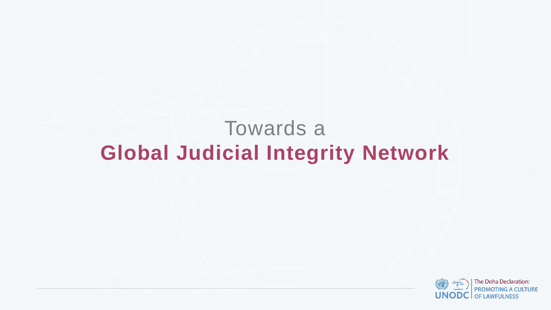# Towards a **Global Judicial Integrity Network**



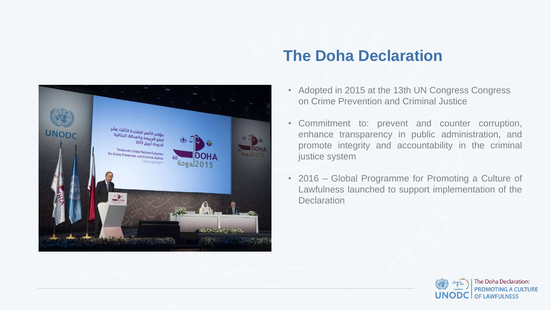

#### **The Doha Declaration**

- Adopted in 2015 at the 13th UN Congress Congress on Crime Prevention and Criminal Justice
- Commitment to: prevent and counter corruption, enhance transparency in public administration, and promote integrity and accountability in the criminal justice system
- 2016 Global Programme for Promoting a Culture of Lawfulness launched to support implementation of the **Declaration**



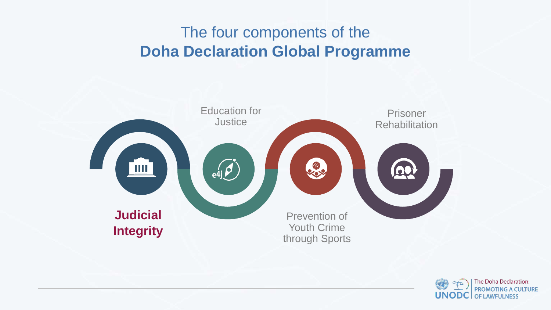**Integrity**





## The four components of the **Doha Declaration Global Programme**

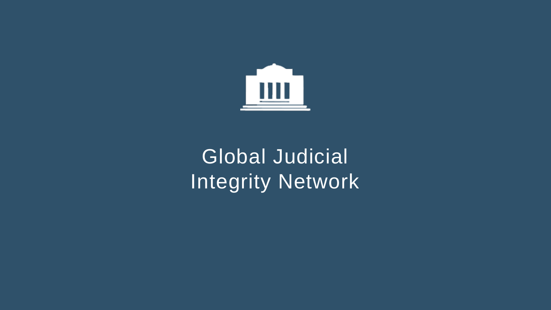

# Global Judicial Integrity Network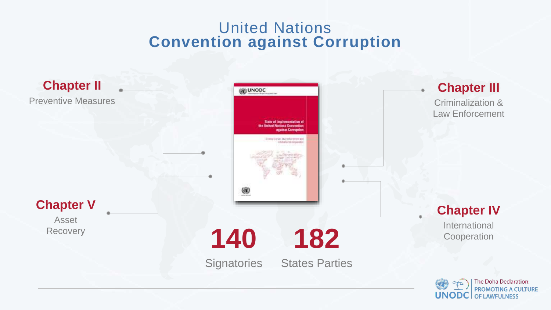#### United Nations **Convention against Corruption**



۳



**182**

**States Parties** 



International **Cooperation** 



#### **Chapter II**

Preventive Measures

Asset **Recovery** 

#### **Chapter III**

Criminalization & Law Enforcement

#### **Chapter IV**

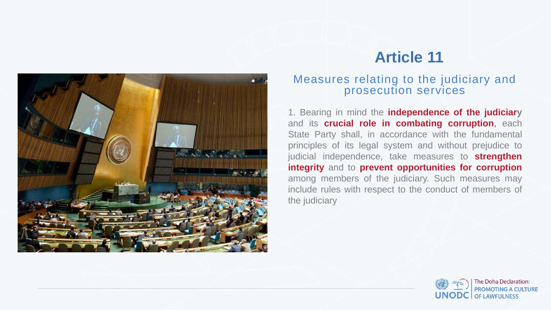#### Measures relating to the judiciary and prosecution services

1. Bearing in mind the **independence of the judiciary** and its **crucial role in combating corruption**, each State Party shall, in accordance with the fundamental principles of its legal system and without prejudice to judicial independence, take measures to **strengthen integrity** and to **prevent opportunities for corruption** among members of the judiciary. Such measures may include rules with respect to the conduct of members of the judiciary







### **Article 11**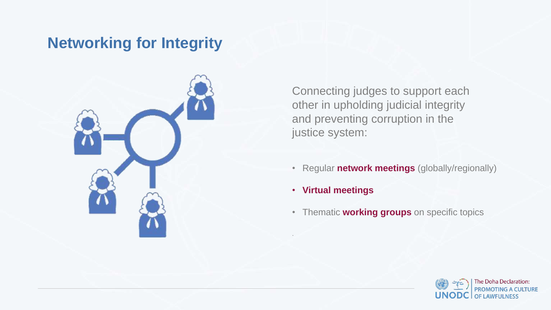Connecting judges to support each other in upholding judicial integrity and preventing corruption in the justice system:

- Regular **network meetings** (globally/regionally)
- **Virtual meetings**

• Thematic **working groups** on specific topics





.

## **Networking for Integrity**

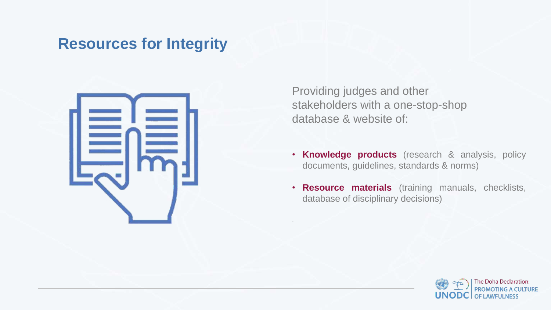Providing judges and other stakeholders with a one-stop-shop database & website of:

- **Knowledge products** (research & analysis, policy documents, guidelines, standards & norms)
- **Resource materials** (training manuals, checklists, database of disciplinary decisions)





.

### **Resources for Integrity**

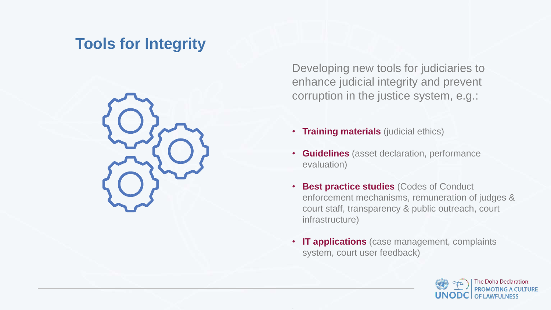Developing new tools for judiciaries to enhance judicial integrity and prevent corruption in the justice system, e.g.:

• **Training materials** (judicial ethics)

- **Guidelines** (asset declaration, performance evaluation)
- **Best practice studies** (Codes of Conduct enforcement mechanisms, remuneration of judges & court staff, transparency & public outreach, court infrastructure)
- **IT applications** (case management, complaints system, court user feedback)





.

### **Tools for Integrity**

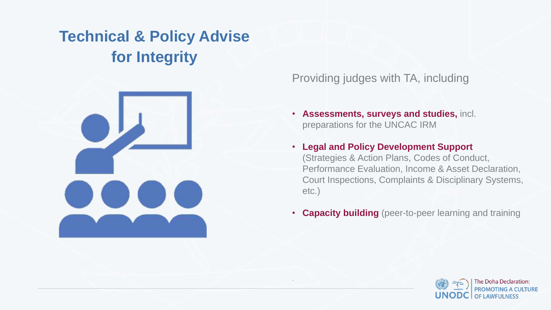#### Providing judges with TA, including

• **Assessments, surveys and studies,** incl. preparations for the UNCAC IRM

- **Legal and Policy Development Support**  (Strategies & Action Plans, Codes of Conduct, Performance Evaluation, Income & Asset Declaration, Court Inspections, Complaints & Disciplinary Systems, etc.)
- **Capacity building** (peer-to-peer learning and training





.

# **Technical & Policy Advise for Integrity**

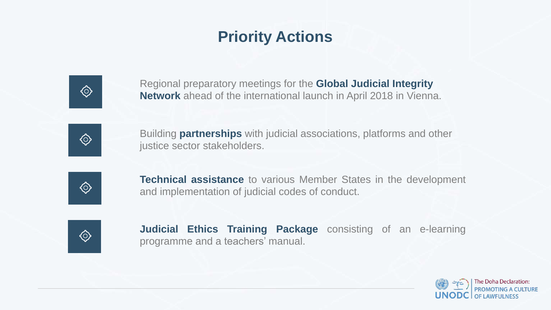## **Priority Actions**



Regional preparatory meetings for the **Global Judicial Integrity Network** ahead of the international launch in April 2018 in Vienna.



**Technical assistance** to various Member States in the development and implementation of judicial codes of conduct.

Building **partnerships** with judicial associations, platforms and other









 $\bigodot$ 

**Judicial Ethics Training Package** consisting of an e-learning programme and a teachers' manual.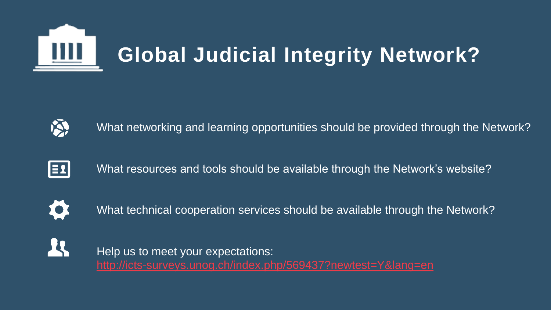

# **Global Judicial Integrity Network?**



What networking and learning opportunities should be provided through the Network?



What resources and tools should be available through the Network's website?



What technical cooperation services should be available through the Network?

Help us to meet your expectations: <http://icts-surveys.unog.ch/index.php/569437?newtest=Y&lang=en>